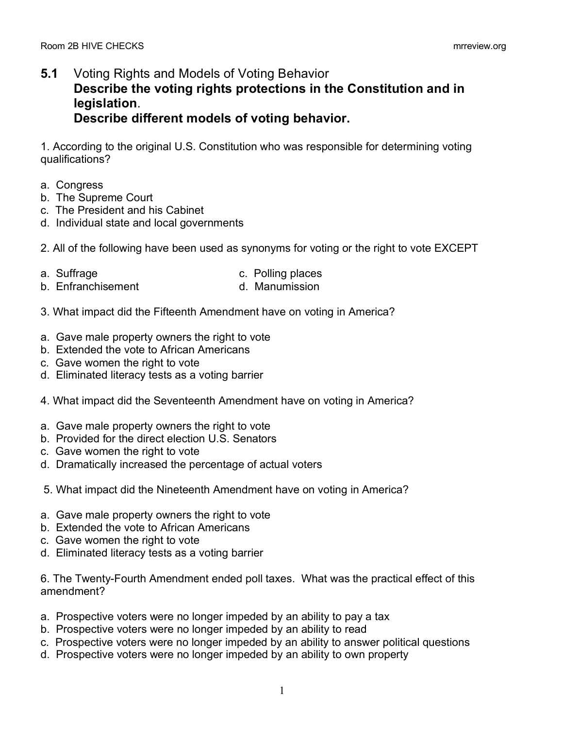## **5.1** Voting Rights and Models of Voting Behavior **Describe the voting rights protections in the Constitution and in legislation**. **Describe different models of voting behavior.**

1. According to the original U.S. Constitution who was responsible for determining voting qualifications?

- a. Congress
- b. The Supreme Court
- c. The President and his Cabinet
- d. Individual state and local governments

2. All of the following have been used as synonyms for voting or the right to vote EXCEPT

- 
- a. Suffrage c. Polling places
- b. Enfranchisement and Manumission
	-
- 3. What impact did the Fifteenth Amendment have on voting in America?
- a. Gave male property owners the right to vote
- b. Extended the vote to African Americans
- c. Gave women the right to vote
- d. Eliminated literacy tests as a voting barrier
- 4. What impact did the Seventeenth Amendment have on voting in America?
- a. Gave male property owners the right to vote
- b. Provided for the direct election U.S. Senators
- c. Gave women the right to vote
- d. Dramatically increased the percentage of actual voters
- 5. What impact did the Nineteenth Amendment have on voting in America?
- a. Gave male property owners the right to vote
- b. Extended the vote to African Americans
- c. Gave women the right to vote
- d. Eliminated literacy tests as a voting barrier

6. The Twenty-Fourth Amendment ended poll taxes. What was the practical effect of this amendment?

- a. Prospective voters were no longer impeded by an ability to pay a tax
- b. Prospective voters were no longer impeded by an ability to read
- c. Prospective voters were no longer impeded by an ability to answer political questions
- d. Prospective voters were no longer impeded by an ability to own property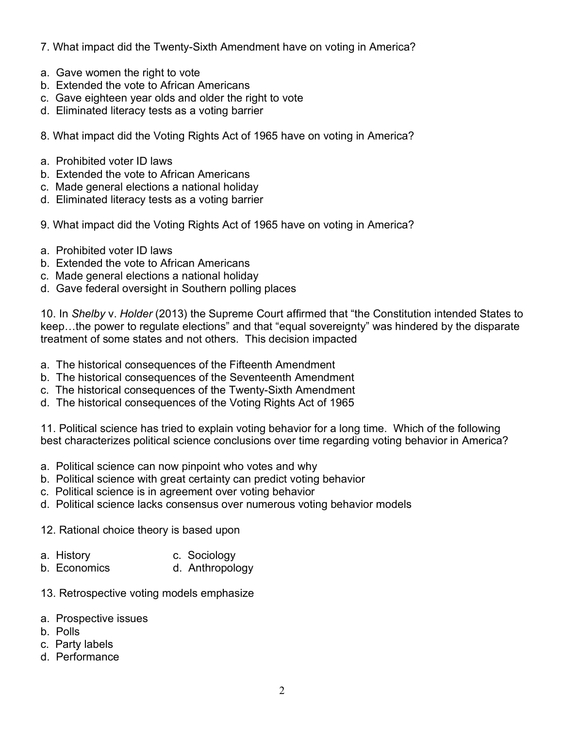- 7. What impact did the Twenty-Sixth Amendment have on voting in America?
- a. Gave women the right to vote
- b. Extended the vote to African Americans
- c. Gave eighteen year olds and older the right to vote
- d. Eliminated literacy tests as a voting barrier
- 8. What impact did the Voting Rights Act of 1965 have on voting in America?
- a. Prohibited voter ID laws
- b. Extended the vote to African Americans
- c. Made general elections a national holiday
- d. Eliminated literacy tests as a voting barrier
- 9. What impact did the Voting Rights Act of 1965 have on voting in America?
- a. Prohibited voter ID laws
- b. Extended the vote to African Americans
- c. Made general elections a national holiday
- d. Gave federal oversight in Southern polling places

10. In *Shelby* v. *Holder* (2013) the Supreme Court affirmed that "the Constitution intended States to keep…the power to regulate elections" and that "equal sovereignty" was hindered by the disparate treatment of some states and not others. This decision impacted

- a. The historical consequences of the Fifteenth Amendment
- b. The historical consequences of the Seventeenth Amendment
- c. The historical consequences of the Twenty-Sixth Amendment
- d. The historical consequences of the Voting Rights Act of 1965

11. Political science has tried to explain voting behavior for a long time. Which of the following best characterizes political science conclusions over time regarding voting behavior in America?

- a. Political science can now pinpoint who votes and why
- b. Political science with great certainty can predict voting behavior
- c. Political science is in agreement over voting behavior
- d. Political science lacks consensus over numerous voting behavior models
- 12. Rational choice theory is based upon
- a. History c. Sociology
- b. Economics d. Anthropology
- 13. Retrospective voting models emphasize
- a. Prospective issues
- b. Polls
- c. Party labels
- d. Performance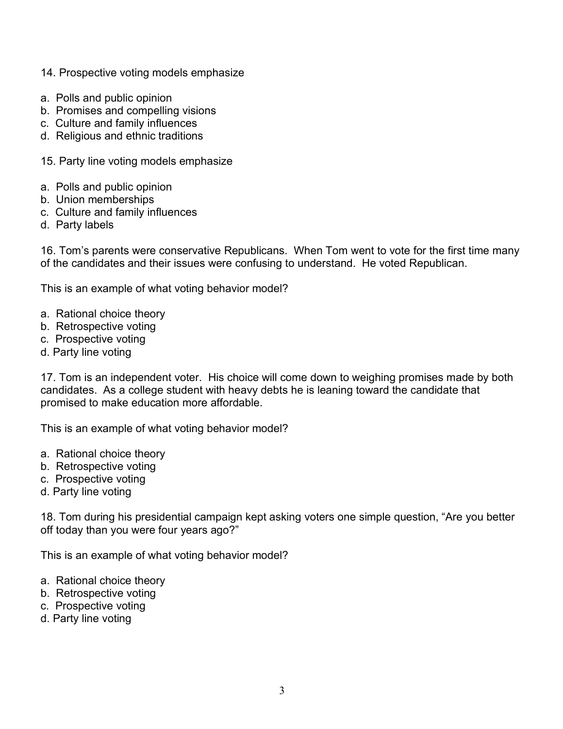- 14. Prospective voting models emphasize
- a. Polls and public opinion
- b. Promises and compelling visions
- c. Culture and family influences
- d. Religious and ethnic traditions
- 15. Party line voting models emphasize
- a. Polls and public opinion
- b. Union memberships
- c. Culture and family influences
- d. Party labels

16. Tom's parents were conservative Republicans. When Tom went to vote for the first time many of the candidates and their issues were confusing to understand. He voted Republican.

This is an example of what voting behavior model?

- a. Rational choice theory
- b. Retrospective voting
- c. Prospective voting
- d. Party line voting

17. Tom is an independent voter. His choice will come down to weighing promises made by both candidates. As a college student with heavy debts he is leaning toward the candidate that promised to make education more affordable.

This is an example of what voting behavior model?

- a. Rational choice theory
- b. Retrospective voting
- c. Prospective voting
- d. Party line voting

18. Tom during his presidential campaign kept asking voters one simple question, "Are you better off today than you were four years ago?"

This is an example of what voting behavior model?

- a. Rational choice theory
- b. Retrospective voting
- c. Prospective voting
- d. Party line voting